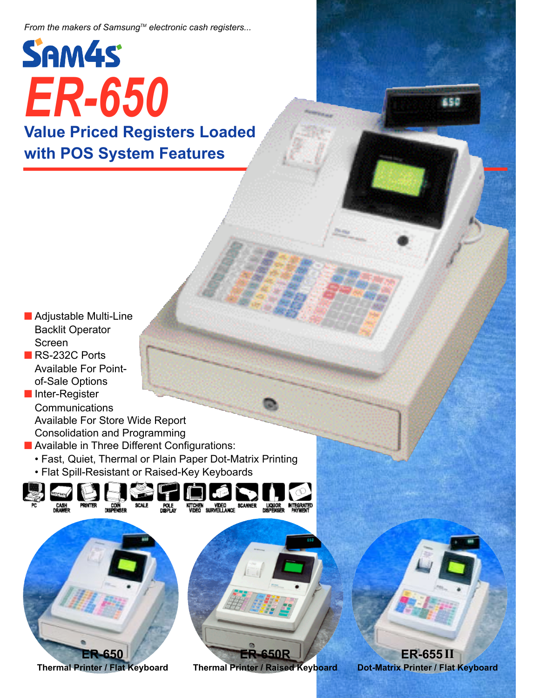*From the makers of SamsungTM electronic cash registers...*

## SAM4S *ER-650* **Value Priced Registers Loaded with POS System Features**

■ Adjustable Multi-Line Backlit Operator Screen

■ RS-232C Ports Available For Pointof-Sale Options

■ Inter-Register **Communications** Available For Store Wide Report Consolidation and Programming

- Available in Three Different Configurations:
	- Fast, Quiet, Thermal or Plain Paper Dot-Matrix Printing
	- Flat Spill-Resistant or Raised-Key Keyboards



**Thermal Printer / Raised Keyboard**

**ER-655II**

**Dot-Matrix Printer / Flat Keyboard**